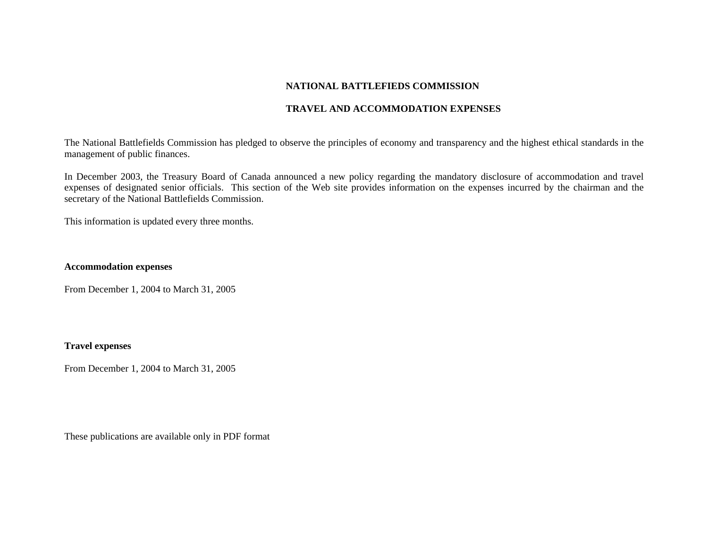### **NATIONAL BATTLEFIEDS COMMISSION**

## **TRAVEL AND ACCOMMODATION EXPENSES**

The National Battlefields Commission has pledged to observe the principles of economy and transparency and the highest ethical standards in the management of public finances.

In December 2003, the Treasury Board of Canada announced a new policy regarding the mandatory disclosure of accommodation and travel expenses of designated senior officials. This section of the Web site provides information on the expenses incurred by the chairman and the secretary of the National Battlefields Commission.

This information is updated every three months.

### **Accommodation expenses**

From December 1, 2004 to March 31, 2005

### **Travel expenses**

From December 1, 2004 to March 31, 2005

These publications are available only in PDF format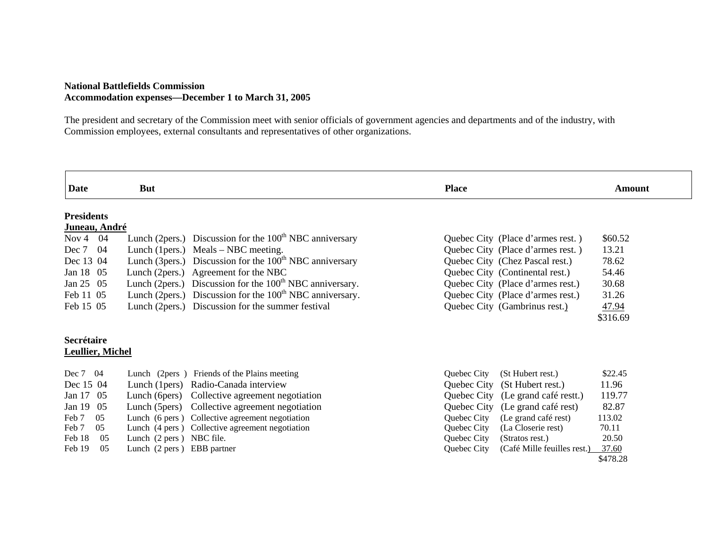#### **National Battlefields Commission Accommodation expenses—December 1 to March 31, 2005**

The president and secretary of the Commission meet with senior officials of government agencies and departments and of the industry, with Commission employees, external consultants and representatives of other organizations.

| Date                    | <b>But</b>                 |                                                                      | <b>Place</b> |                                   | Amount            |
|-------------------------|----------------------------|----------------------------------------------------------------------|--------------|-----------------------------------|-------------------|
| <b>Presidents</b>       |                            |                                                                      |              |                                   |                   |
| Juneau, André           |                            |                                                                      |              |                                   |                   |
| Nov 4 $04$              |                            | Lunch (2pers.) Discussion for the $100th NBC$ anniversary            |              | Quebec City (Place d'armes rest.) | \$60.52           |
| Dec 7<br>-04            | Lunch (1 pers.)            | Meals – NBC meeting.                                                 |              | Quebec City (Place d'armes rest.) | 13.21             |
| Dec 13 04               |                            | Lunch (3pers.) Discussion for the 100 <sup>th</sup> NBC anniversary  |              | Quebec City (Chez Pascal rest.)   | 78.62             |
| Jan 18 05               |                            | Lunch (2pers.) Agreement for the NBC                                 |              | Quebec City (Continental rest.)   | 54.46             |
| Jan 25 05               |                            | Lunch (2pers.) Discussion for the 100 <sup>th</sup> NBC anniversary. |              | Quebec City (Place d'armes rest.) | 30.68             |
| Feb 11 05               |                            | Lunch (2pers.) Discussion for the $100th NBC$ anniversary.           |              | Quebec City (Place d'armes rest.) | 31.26             |
| Feb 15 05               |                            | Lunch (2pers.) Discussion for the summer festival                    |              | Quebec City (Gambrinus rest.)     | 47.94             |
|                         |                            |                                                                      |              |                                   | \$316.69          |
| Secrétaire              |                            |                                                                      |              |                                   |                   |
| <b>Leullier, Michel</b> |                            |                                                                      |              |                                   |                   |
| Dec 7 04                |                            | Lunch (2pers) Friends of the Plains meeting                          | Quebec City  | (St Hubert rest.)                 | \$22.45           |
| Dec 15 04               |                            | Lunch (1 pers) Radio-Canada interview                                | Quebec City  | (St Hubert rest.)                 | 11.96             |
| 05<br>Jan $17$          | Lunch (6 pers)             | Collective agreement negotiation                                     | Quebec City  | (Le grand café restt.)            | 119.77            |
| Jan $19$<br>05          |                            | Lunch (5pers) Collective agreement negotiation                       | Quebec City  | (Le grand café rest)              | 82.87             |
| Feb 7<br>05             |                            | Lunch (6 pers) Collective agreement negotiation                      | Quebec City  | (Le grand café rest)              | 113.02            |
| Feb 7<br>05             |                            | Lunch (4 pers) Collective agreement negotiation                      | Quebec City  | (La Closerie rest)                | 70.11             |
| Feb 18<br>05            | Lunch (2 pers) NBC file.   |                                                                      | Quebec City  | (Stratos rest.)                   | 20.50             |
| 05<br>Feb 19            | Lunch (2 pers) EBB partner |                                                                      | Quebec City  | (Café Mille feuilles rest.)       | 37.60<br>\$478.28 |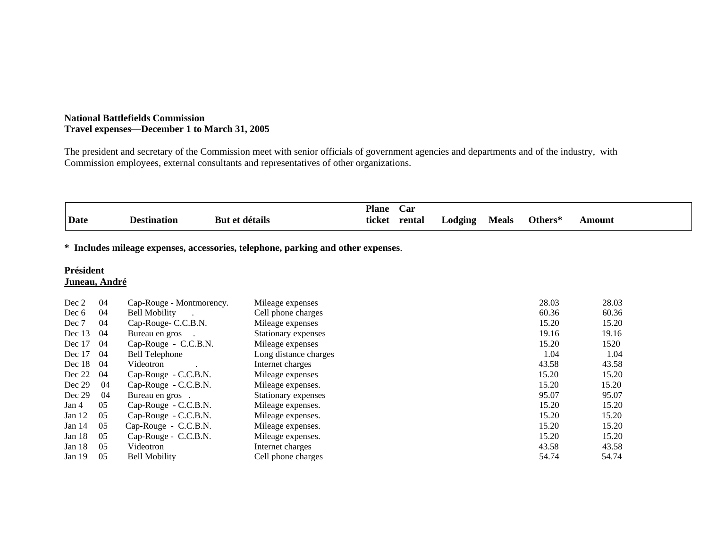#### **National Battlefields Commission Travel expenses—December 1 to March 31, 2005**

The president and secretary of the Commission meet with senior officials of government agencies and departments and of the industry, with Commission employees, external consultants and representatives of other organizations.

|             |             |                | <b>Plane</b> | $\overline{\phantom{0}}$<br>Car |                      |       |                |               |
|-------------|-------------|----------------|--------------|---------------------------------|----------------------|-------|----------------|---------------|
| <b>Date</b> | Destination | détails<br>But | .<br>ticket  | rental                          | ⊥odging<br>$\bullet$ | Meals | <b>Others*</b> | <b>\mount</b> |

# **\* Includes mileage expenses, accessories, telephone, parking and other expenses**.

#### **Président Juneau, André**

| Dec 2    | 04  | Cap-Rouge - Montmorency. | Mileage expenses      | 28.03 | 28.03 |
|----------|-----|--------------------------|-----------------------|-------|-------|
| Dec 6    | 04  | <b>Bell Mobility</b>     | Cell phone charges    | 60.36 | 60.36 |
| Dec 7    | 04  | Cap-Rouge- C.C.B.N.      | Mileage expenses      | 15.20 | 15.20 |
| Dec 13   | 04  | Bureau en gros           | Stationary expenses   | 19.16 | 19.16 |
| Dec 17   | 04  | Cap-Rouge - C.C.B.N.     | Mileage expenses      | 15.20 | 1520  |
| Dec 17   | 04  | <b>Bell Telephone</b>    | Long distance charges | 1.04  | 1.04  |
| Dec 18   | 04  | Videotron                | Internet charges      | 43.58 | 43.58 |
| Dec 22   | 04  | Cap-Rouge - C.C.B.N.     | Mileage expenses      | 15.20 | 15.20 |
| Dec 29   | 04  | Cap-Rouge - C.C.B.N.     | Mileage expenses.     | 15.20 | 15.20 |
| Dec 29   | 04  | Bureau en gros.          | Stationary expenses   | 95.07 | 95.07 |
| Jan 4    | 05  | Cap-Rouge - C.C.B.N.     | Mileage expenses.     | 15.20 | 15.20 |
| Jan $12$ | 05  | Cap-Rouge - C.C.B.N.     | Mileage expenses.     | 15.20 | 15.20 |
| Jan $14$ | 05  | Cap-Rouge - C.C.B.N.     | Mileage expenses.     | 15.20 | 15.20 |
| Jan $18$ | 05  | Cap-Rouge - C.C.B.N.     | Mileage expenses.     | 15.20 | 15.20 |
| Jan $18$ | 0.5 | Videotron                | Internet charges      | 43.58 | 43.58 |
| Jan $19$ | 05  | <b>Bell Mobility</b>     | Cell phone charges    | 54.74 | 54.74 |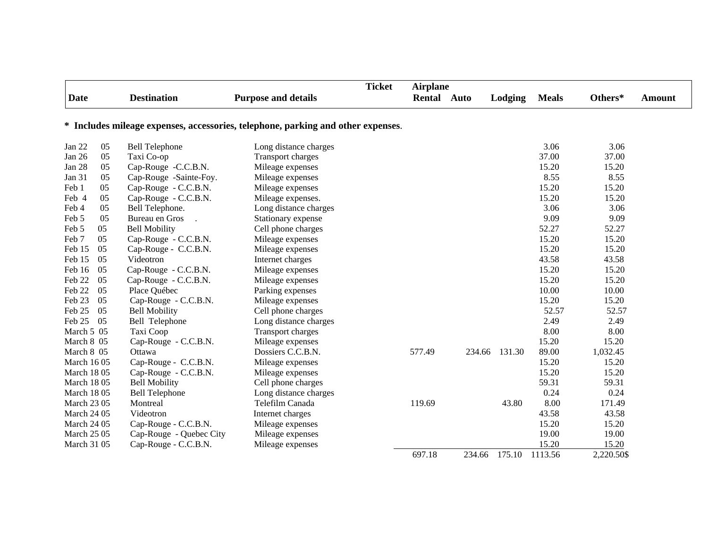|                                                                                  |    |                         |                            | <b>Ticket</b> | <b>Airplane</b> |        |         |              |            |        |
|----------------------------------------------------------------------------------|----|-------------------------|----------------------------|---------------|-----------------|--------|---------|--------------|------------|--------|
| <b>Date</b>                                                                      |    | <b>Destination</b>      | <b>Purpose and details</b> |               | Rental          | Auto   | Lodging | <b>Meals</b> | Others*    | Amount |
|                                                                                  |    |                         |                            |               |                 |        |         |              |            |        |
| * Includes mileage expenses, accessories, telephone, parking and other expenses. |    |                         |                            |               |                 |        |         |              |            |        |
| Jan 22                                                                           | 05 | <b>Bell Telephone</b>   | Long distance charges      |               |                 |        |         | 3.06         | 3.06       |        |
| Jan 26                                                                           | 05 | Taxi Co-op              | Transport charges          |               |                 |        |         | 37.00        | 37.00      |        |
| Jan 28                                                                           | 05 | Cap-Rouge -C.C.B.N.     | Mileage expenses           |               |                 |        |         | 15.20        | 15.20      |        |
| Jan 31                                                                           | 05 | Cap-Rouge -Sainte-Foy.  | Mileage expenses           |               |                 |        |         | 8.55         | 8.55       |        |
| Feb 1                                                                            | 05 | Cap-Rouge - C.C.B.N.    | Mileage expenses           |               |                 |        |         | 15.20        | 15.20      |        |
| Feb 4                                                                            | 05 | Cap-Rouge - C.C.B.N.    | Mileage expenses.          |               |                 |        |         | 15.20        | 15.20      |        |
| Feb 4                                                                            | 05 | Bell Telephone.         | Long distance charges      |               |                 |        |         | 3.06         | 3.06       |        |
| Feb 5                                                                            | 05 | Bureau en Gros          | Stationary expense         |               |                 |        |         | 9.09         | 9.09       |        |
| Feb 5                                                                            | 05 | <b>Bell Mobility</b>    | Cell phone charges         |               |                 |        |         | 52.27        | 52.27      |        |
| Feb 7                                                                            | 05 | Cap-Rouge - C.C.B.N.    | Mileage expenses           |               |                 |        |         | 15.20        | 15.20      |        |
| Feb 15                                                                           | 05 | Cap-Rouge - C.C.B.N.    | Mileage expenses           |               |                 |        |         | 15.20        | 15.20      |        |
| Feb 15                                                                           | 05 | Videotron               | Internet charges           |               |                 |        |         | 43.58        | 43.58      |        |
| Feb 16                                                                           | 05 | Cap-Rouge - C.C.B.N.    | Mileage expenses           |               |                 |        |         | 15.20        | 15.20      |        |
| Feb 22                                                                           | 05 | Cap-Rouge - C.C.B.N.    | Mileage expenses           |               |                 |        |         | 15.20        | 15.20      |        |
| Feb 22                                                                           | 05 | Place Québec            | Parking expenses           |               |                 |        |         | 10.00        | 10.00      |        |
| Feb 23                                                                           | 05 | Cap-Rouge - C.C.B.N.    | Mileage expenses           |               |                 |        |         | 15.20        | 15.20      |        |
| Feb 25                                                                           | 05 | <b>Bell Mobility</b>    | Cell phone charges         |               |                 |        |         | 52.57        | 52.57      |        |
| Feb 25                                                                           | 05 | Bell Telephone          | Long distance charges      |               |                 |        |         | 2.49         | 2.49       |        |
| March 5 05                                                                       |    | Taxi Coop               | <b>Transport charges</b>   |               |                 |        |         | 8.00         | 8.00       |        |
| March 8 05                                                                       |    | Cap-Rouge - C.C.B.N.    | Mileage expenses           |               |                 |        |         | 15.20        | 15.20      |        |
| March 8 05                                                                       |    | Ottawa                  | Dossiers C.C.B.N.          |               | 577.49          | 234.66 | 131.30  | 89.00        | 1,032.45   |        |
| <b>March 1605</b>                                                                |    | Cap-Rouge - C.C.B.N.    | Mileage expenses           |               |                 |        |         | 15.20        | 15.20      |        |
| <b>March 1805</b>                                                                |    | Cap-Rouge - C.C.B.N.    | Mileage expenses           |               |                 |        |         | 15.20        | 15.20      |        |
| <b>March 1805</b>                                                                |    | <b>Bell Mobility</b>    | Cell phone charges         |               |                 |        |         | 59.31        | 59.31      |        |
| <b>March 1805</b>                                                                |    | <b>Bell Telephone</b>   | Long distance charges      |               |                 |        |         | 0.24         | 0.24       |        |
| <b>March 23 05</b>                                                               |    | Montreal                | Telefilm Canada            |               | 119.69          |        | 43.80   | 8.00         | 171.49     |        |
| <b>March 24 05</b>                                                               |    | Videotron               | Internet charges           |               |                 |        |         | 43.58        | 43.58      |        |
| <b>March 24 05</b>                                                               |    | Cap-Rouge - C.C.B.N.    | Mileage expenses           |               |                 |        |         | 15.20        | 15.20      |        |
| <b>March 25 05</b>                                                               |    | Cap-Rouge - Quebec City | Mileage expenses           |               |                 |        |         | 19.00        | 19.00      |        |
| <b>March 31 05</b>                                                               |    | Cap-Rouge - C.C.B.N.    | Mileage expenses           |               |                 |        |         | 15.20        | 15.20      |        |
|                                                                                  |    |                         |                            |               | 697.18          | 234.66 | 175.10  | 1113.56      | 2,220.50\$ |        |